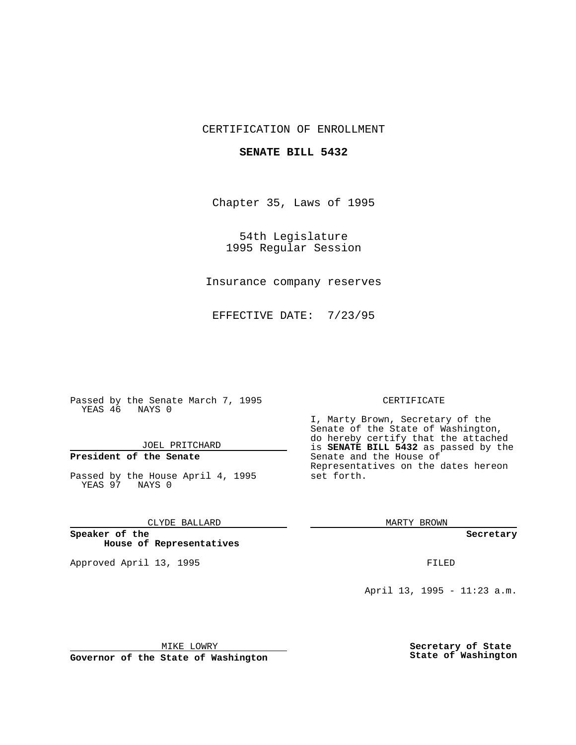## CERTIFICATION OF ENROLLMENT

### **SENATE BILL 5432**

Chapter 35, Laws of 1995

54th Legislature 1995 Regular Session

Insurance company reserves

EFFECTIVE DATE: 7/23/95

Passed by the Senate March 7, 1995 YEAS 46 NAYS 0

JOEL PRITCHARD

# **President of the Senate**

Passed by the House April 4, 1995 YEAS 97 NAYS 0

CLYDE BALLARD

**Speaker of the House of Representatives**

Approved April 13, 1995 FILED

#### CERTIFICATE

I, Marty Brown, Secretary of the Senate of the State of Washington, do hereby certify that the attached is **SENATE BILL 5432** as passed by the Senate and the House of Representatives on the dates hereon set forth.

MARTY BROWN

**Secretary**

April 13, 1995 - 11:23 a.m.

MIKE LOWRY

**Governor of the State of Washington**

**Secretary of State State of Washington**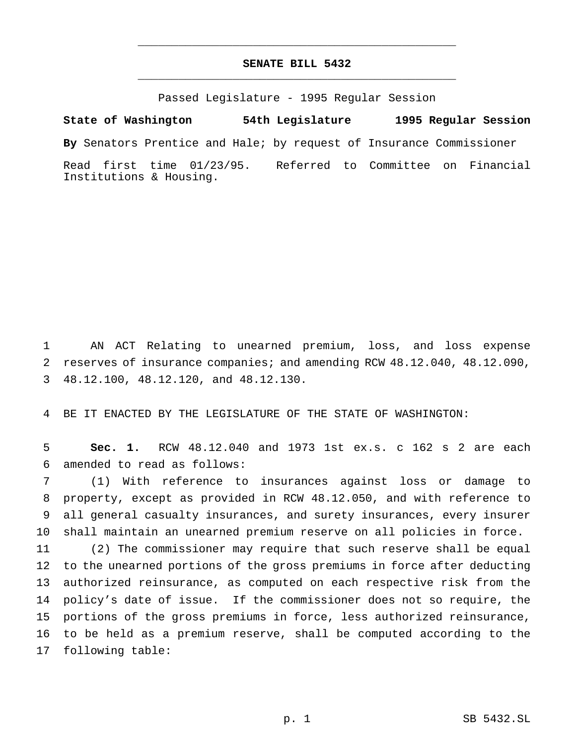# **SENATE BILL 5432** \_\_\_\_\_\_\_\_\_\_\_\_\_\_\_\_\_\_\_\_\_\_\_\_\_\_\_\_\_\_\_\_\_\_\_\_\_\_\_\_\_\_\_\_\_\_\_

\_\_\_\_\_\_\_\_\_\_\_\_\_\_\_\_\_\_\_\_\_\_\_\_\_\_\_\_\_\_\_\_\_\_\_\_\_\_\_\_\_\_\_\_\_\_\_

Passed Legislature - 1995 Regular Session

**State of Washington 54th Legislature 1995 Regular Session**

**By** Senators Prentice and Hale; by request of Insurance Commissioner

Read first time 01/23/95. Referred to Committee on Financial Institutions & Housing.

 AN ACT Relating to unearned premium, loss, and loss expense reserves of insurance companies; and amending RCW 48.12.040, 48.12.090, 48.12.100, 48.12.120, and 48.12.130.

BE IT ENACTED BY THE LEGISLATURE OF THE STATE OF WASHINGTON:

 **Sec. 1.** RCW 48.12.040 and 1973 1st ex.s. c 162 s 2 are each amended to read as follows:

 (1) With reference to insurances against loss or damage to property, except as provided in RCW 48.12.050, and with reference to all general casualty insurances, and surety insurances, every insurer shall maintain an unearned premium reserve on all policies in force.

 (2) The commissioner may require that such reserve shall be equal to the unearned portions of the gross premiums in force after deducting authorized reinsurance, as computed on each respective risk from the policy's date of issue. If the commissioner does not so require, the portions of the gross premiums in force, less authorized reinsurance, to be held as a premium reserve, shall be computed according to the following table: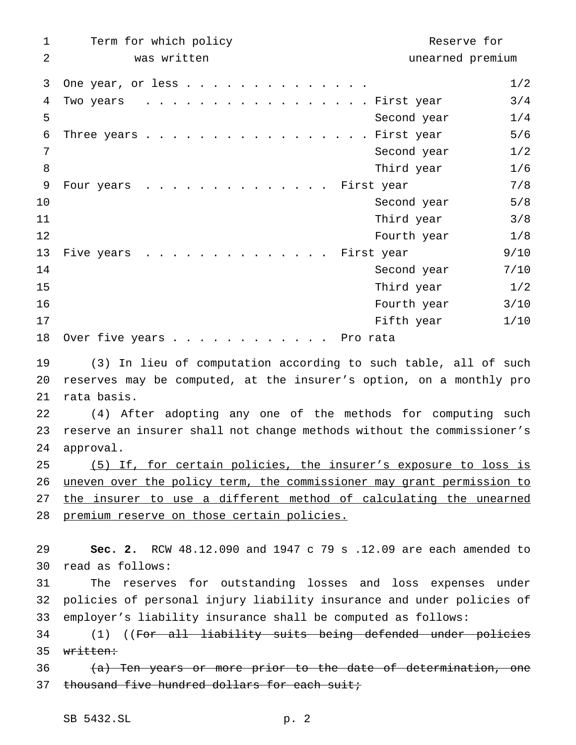| 1  | Term for which policy                                                   | Reserve for      |  |
|----|-------------------------------------------------------------------------|------------------|--|
| 2  | was written                                                             | unearned premium |  |
| 3  | One year, or less                                                       | 1/2              |  |
| 4  | . First year<br>Two years                                               | 3/4              |  |
| 5  | Second year                                                             | 1/4              |  |
| 6  | . First year<br>Three years                                             | 5/6              |  |
| 7  | Second year                                                             | 1/2              |  |
| 8  | Third year                                                              | 1/6              |  |
| 9  | First year<br>Four years                                                | 7/8              |  |
| 10 | Second year                                                             | 5/8              |  |
| 11 | Third year                                                              | 3/8              |  |
| 12 | Fourth year                                                             | 1/8              |  |
| 13 | Five years<br>First year                                                | 9/10             |  |
| 14 | Second year                                                             | 7/10             |  |
| 15 | Third year                                                              | 1/2              |  |
| 16 | Fourth year                                                             | 3/10             |  |
| 17 | Fifth year                                                              | 1/10             |  |
| 18 | Over five years.<br>. . Pro rata                                        |                  |  |
| 19 | (3) In lieu of computation according to such table, all of such         |                  |  |
| 20 | reserves may be computed, at the insurer's option, on a monthly pro     |                  |  |
| 21 | rata basis.                                                             |                  |  |
| 22 | (4) After adopting any one of the methods for computing such            |                  |  |
| 23 | reserve an insurer shall not change methods without the commissioner's  |                  |  |
| 24 | approval.                                                               |                  |  |
| 25 | (5) If, for certain policies, the insurer's exposure to loss is         |                  |  |
| 26 | uneven over the policy term, the commissioner may grant permission to   |                  |  |
| 27 | the insurer to use a different method of calculating the unearned       |                  |  |
| 28 | premium reserve on those certain policies.                              |                  |  |
| 29 | <b>Sec. 2.</b> RCW 48.12.090 and 1947 c 79 s .12.09 are each amended to |                  |  |
| 30 | read as follows:                                                        |                  |  |
| 31 | The reserves for outstanding losses and loss expenses under             |                  |  |
| 32 | policies of personal injury liability insurance and under policies of   |                  |  |
| 33 | employer's liability insurance shall be computed as follows:            |                  |  |
| 34 | (1) ((For all liability suits being defended under policies             |                  |  |
| 35 | written:                                                                |                  |  |
| 36 | (a) Ten years or more prior to the date of determination, one           |                  |  |
| 37 | thousand five hundred dollars for each suit;                            |                  |  |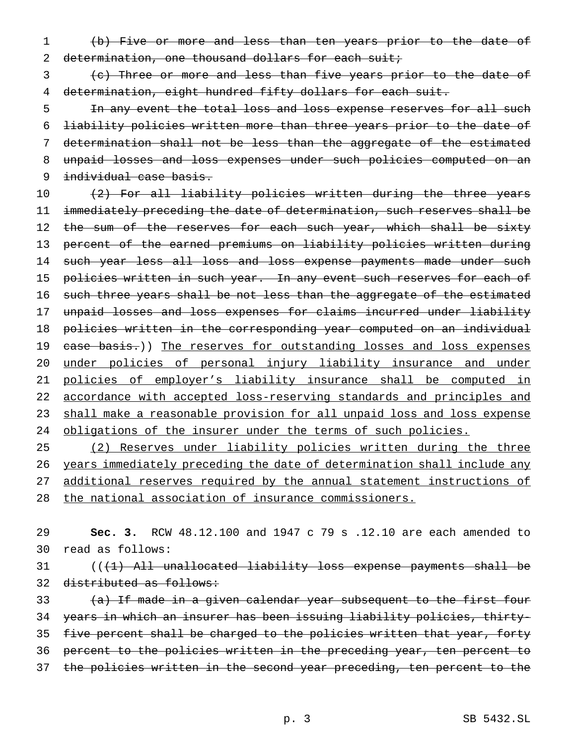1 (b) Five or more and less than ten years prior to the date of 2 determination, one thousand dollars for each suit;

3 (c) Three or more and less than five years prior to the date of 4 determination, eight hundred fifty dollars for each suit.

5 1n any event the total loss and loss expense reserves for all such 6 liability policies written more than three years prior to the date of 7 determination shall not be less than the aggregate of the estimated 8 unpaid losses and loss expenses under such policies computed on an 9 individual case basis.

10 (2) For all liability policies written during the three years 11 immediately preceding the date of determination, such reserves shall be 12 the sum of the reserves for each such year, which shall be sixty 13 percent of the earned premiums on liability policies written during 14 such year less all loss and loss expense payments made under such 15 policies written in such year. In any event such reserves for each of 16 such three years shall be not less than the aggregate of the estimated 17 unpaid losses and loss expenses for claims incurred under liability 18 policies written in the corresponding year computed on an individual 19 case basis.)) The reserves for outstanding losses and loss expenses 20 under policies of personal injury liability insurance and under 21 policies of employer's liability insurance shall be computed in 22 accordance with accepted loss-reserving standards and principles and 23 shall make a reasonable provision for all unpaid loss and loss expense 24 obligations of the insurer under the terms of such policies.

 (2) Reserves under liability policies written during the three years immediately preceding the date of determination shall include any additional reserves required by the annual statement instructions of the national association of insurance commissioners.

29 **Sec. 3.** RCW 48.12.100 and 1947 c 79 s .12.10 are each amended to 30 read as follows:

31 ((<del>(1) All unallocated liability loss expense payments shall be</del> 32 distributed as follows:

33 (a) If made in a given calendar year subsequent to the first four 34 years in which an insurer has been issuing liability policies, thirty-35 five percent shall be charged to the policies written that year, forty 36 percent to the policies written in the preceding year, ten percent to 37 the policies written in the second year preceding, ten percent to the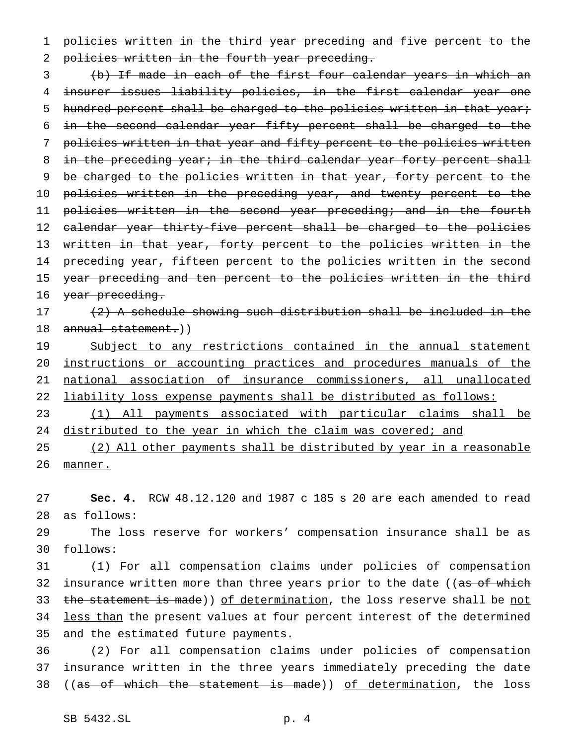1 policies written in the third year preceding and five percent to the 2 policies written in the fourth year preceding.

3 (b) If made in each of the first four calendar years in which an 4 insurer issues liability policies, in the first calendar year one 5 hundred percent shall be charged to the policies written in that year; 6 in the second calendar year fifty percent shall be charged to the 7 policies written in that year and fifty percent to the policies written 8 in the preceding year; in the third calendar year forty percent shall 9 be charged to the policies written in that year, forty percent to the 10 policies written in the preceding year, and twenty percent to the 11 policies written in the second year preceding; and in the fourth 12 calendar year thirty-five percent shall be charged to the policies 13 written in that year, forty percent to the policies written in the 14 preceding year, fifteen percent to the policies written in the second 15 year preceding and ten percent to the policies written in the third 16 year preceding.

17 (2) A schedule showing such distribution shall be included in the 18 annual statement.))

19 Subject to any restrictions contained in the annual statement instructions or accounting practices and procedures manuals of the national association of insurance commissioners, all unallocated liability loss expense payments shall be distributed as follows:

23 (1) All payments associated with particular claims shall be 24 distributed to the year in which the claim was covered; and

25 (2) All other payments shall be distributed by year in a reasonable 26 manner.

27 **Sec. 4.** RCW 48.12.120 and 1987 c 185 s 20 are each amended to read 28 as follows:

29 The loss reserve for workers' compensation insurance shall be as 30 follows:

31 (1) For all compensation claims under policies of compensation 32 insurance written more than three years prior to the date ((as of which 33 the statement is made)) of determination, the loss reserve shall be not 34 less than the present values at four percent interest of the determined 35 and the estimated future payments.

36 (2) For all compensation claims under policies of compensation 37 insurance written in the three years immediately preceding the date 38 ((as of which the statement is made)) of determination, the loss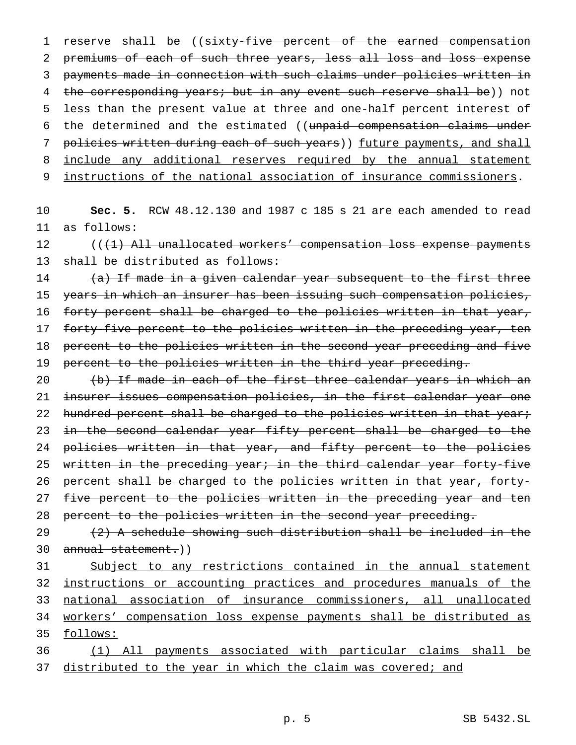1 reserve shall be ((sixty-five percent of the earned compensation 2 premiums of each of such three years, less all loss and loss expense 3 payments made in connection with such claims under policies written in 4 the corresponding years; but in any event such reserve shall be)) not 5 less than the present value at three and one-half percent interest of 6 the determined and the estimated ((unpaid compensation claims under 7 policies written during each of such years)) future payments, and shall 8 include any additional reserves required by the annual statement 9 instructions of the national association of insurance commissioners.

10 **Sec. 5.** RCW 48.12.130 and 1987 c 185 s 21 are each amended to read 11 as follows:

 $12$  (( $\left(1\right)$  All unallocated workers' compensation loss expense payments 13 shall be distributed as follows:

14 (a) If made in a given calendar year subsequent to the first three 15 years in which an insurer has been issuing such compensation policies, 16 forty percent shall be charged to the policies written in that year, 17 forty-five percent to the policies written in the preceding year, ten 18 percent to the policies written in the second year preceding and five 19 percent to the policies written in the third year preceding.

20 (b) If made in each of the first three calendar years in which an 21 insurer issues compensation policies, in the first calendar year one 22 hundred percent shall be charged to the policies written in that year; 23 in the second calendar year fifty percent shall be charged to the 24 policies written in that year, and fifty percent to the policies 25 written in the preceding year; in the third calendar year forty-five 26 percent shall be charged to the policies written in that year, forty-27 five percent to the policies written in the preceding year and ten 28 percent to the policies written in the second year preceding.

29  $(2)$  A schedule showing such distribution shall be included in the 30 annual statement.))

31 Subject to any restrictions contained in the annual statement 32 instructions or accounting practices and procedures manuals of the 33 national association of insurance commissioners, all unallocated 34 workers' compensation loss expense payments shall be distributed as 35 follows:

36 (1) All payments associated with particular claims shall be 37 distributed to the year in which the claim was covered; and